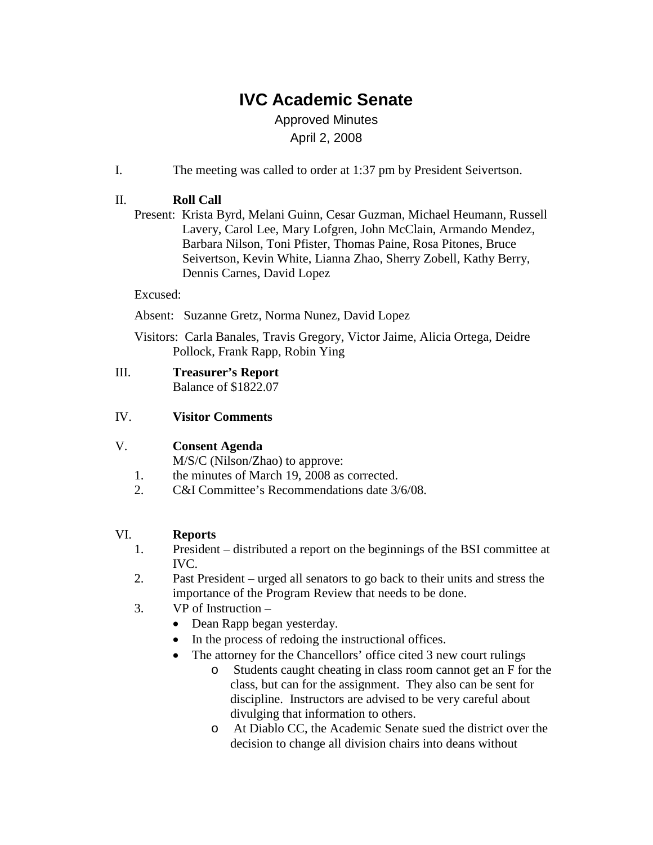# **IVC Academic Senate**

# Approved Minutes April 2, 2008

I. The meeting was called to order at 1:37 pm by President Seivertson.

#### II. **Roll Call**

Present: Krista Byrd, Melani Guinn, Cesar Guzman, Michael Heumann, Russell Lavery, Carol Lee, Mary Lofgren, John McClain, Armando Mendez, Barbara Nilson, Toni Pfister, Thomas Paine, Rosa Pitones, Bruce Seivertson, Kevin White, Lianna Zhao, Sherry Zobell, Kathy Berry, Dennis Carnes, David Lopez

#### Excused:

Absent: Suzanne Gretz, Norma Nunez, David Lopez

Visitors: Carla Banales, Travis Gregory, Victor Jaime, Alicia Ortega, Deidre Pollock, Frank Rapp, Robin Ying

#### III. **Treasurer's Report** Balance of \$1822.07

# IV. **Visitor Comments**

#### V. **Consent Agenda**

M/S/C (Nilson/Zhao) to approve:

- 1. the minutes of March 19, 2008 as corrected.
- 2. C&I Committee's Recommendations date 3/6/08.

#### VI. **Reports**

- 1. President distributed a report on the beginnings of the BSI committee at IVC.
- 2. Past President urged all senators to go back to their units and stress the importance of the Program Review that needs to be done.
- 3. VP of Instruction
	- Dean Rapp began yesterday.
	- In the process of redoing the instructional offices.
	- The attorney for the Chancellors' office cited 3 new court rulings
		- o Students caught cheating in class room cannot get an F for the class, but can for the assignment. They also can be sent for discipline. Instructors are advised to be very careful about divulging that information to others.
		- o At Diablo CC, the Academic Senate sued the district over the decision to change all division chairs into deans without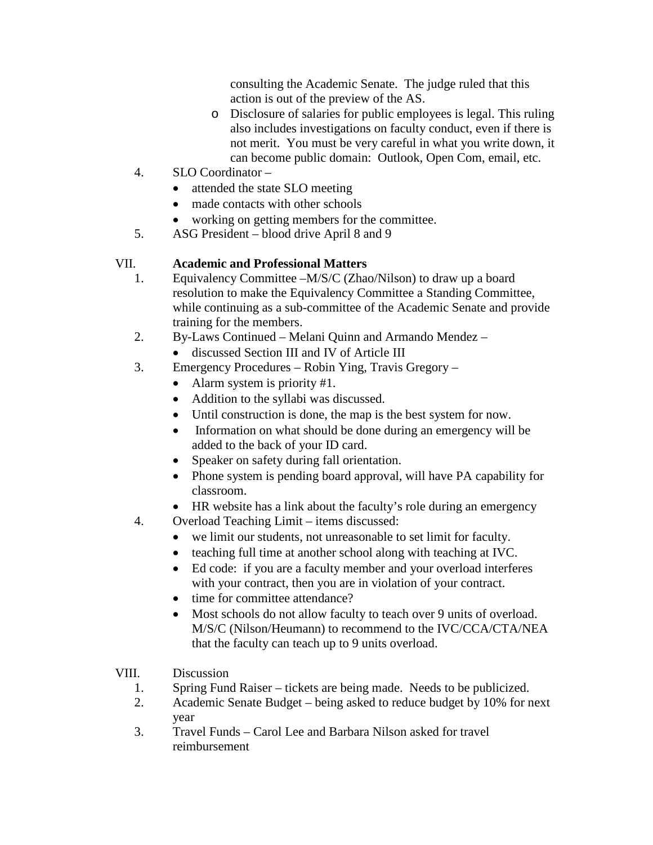consulting the Academic Senate. The judge ruled that this action is out of the preview of the AS.

- o Disclosure of salaries for public employees is legal. This ruling also includes investigations on faculty conduct, even if there is not merit. You must be very careful in what you write down, it can become public domain: Outlook, Open Com, email, etc.
- 4. SLO Coordinator
	- attended the state SLO meeting
	- made contacts with other schools
	- working on getting members for the committee.
- 5. ASG President blood drive April 8 and 9

### VII. **Academic and Professional Matters**

- 1. Equivalency Committee –M/S/C (Zhao/Nilson) to draw up a board resolution to make the Equivalency Committee a Standing Committee, while continuing as a sub-committee of the Academic Senate and provide training for the members.
- 2. By-Laws Continued Melani Quinn and Armando Mendez
	- discussed Section III and IV of Article III
- 3. Emergency Procedures Robin Ying, Travis Gregory
	- Alarm system is priority #1.
	- Addition to the syllabi was discussed.
	- Until construction is done, the map is the best system for now.
	- Information on what should be done during an emergency will be added to the back of your ID card.
	- Speaker on safety during fall orientation.
	- Phone system is pending board approval, will have PA capability for classroom.
	- HR website has a link about the faculty's role during an emergency
- 4. Overload Teaching Limit items discussed:
	- we limit our students, not unreasonable to set limit for faculty.
	- teaching full time at another school along with teaching at IVC.
	- Ed code: if you are a faculty member and your overload interferes with your contract, then you are in violation of your contract.
	- time for committee attendance?
	- Most schools do not allow faculty to teach over 9 units of overload. M/S/C (Nilson/Heumann) to recommend to the IVC/CCA/CTA/NEA that the faculty can teach up to 9 units overload.

#### VIII. Discussion

- 1. Spring Fund Raiser tickets are being made. Needs to be publicized.
- 2. Academic Senate Budget being asked to reduce budget by 10% for next year
- 3. Travel Funds Carol Lee and Barbara Nilson asked for travel reimbursement